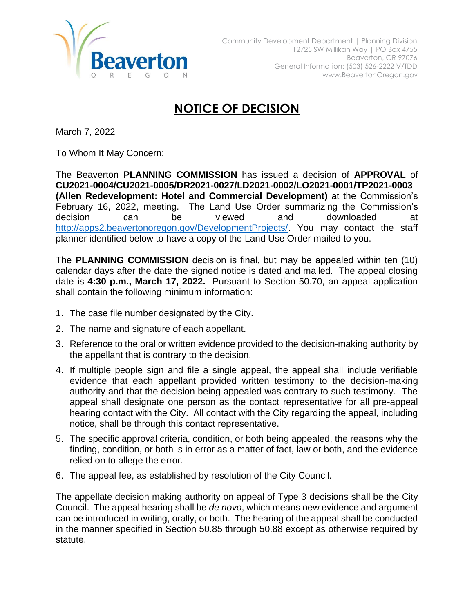

## **NOTICE OF DECISION**

March 7, 2022

To Whom It May Concern:

The Beaverton **PLANNING COMMISSION** has issued a decision of **APPROVAL** of **CU2021-0004/CU2021-0005/DR2021-0027/LD2021-0002/LO2021-0001/TP2021-0003 (Allen Redevelopment: Hotel and Commercial Development)** at the Commission's February 16, 2022, meeting. The Land Use Order summarizing the Commission's decision can be viewed and downloaded at [http://apps2.beavertonoregon.gov/DevelopmentProjects/.](http://apps2.beavertonoregon.gov/DevelopmentProjects/) You may contact the staff planner identified below to have a copy of the Land Use Order mailed to you.

The **PLANNING COMMISSION** decision is final, but may be appealed within ten (10) calendar days after the date the signed notice is dated and mailed. The appeal closing date is **4:30 p.m., March 17, 2022.** Pursuant to Section 50.70, an appeal application shall contain the following minimum information:

- 1. The case file number designated by the City.
- 2. The name and signature of each appellant.
- 3. Reference to the oral or written evidence provided to the decision-making authority by the appellant that is contrary to the decision.
- 4. If multiple people sign and file a single appeal, the appeal shall include verifiable evidence that each appellant provided written testimony to the decision-making authority and that the decision being appealed was contrary to such testimony. The appeal shall designate one person as the contact representative for all pre-appeal hearing contact with the City. All contact with the City regarding the appeal, including notice, shall be through this contact representative.
- 5. The specific approval criteria, condition, or both being appealed, the reasons why the finding, condition, or both is in error as a matter of fact, law or both, and the evidence relied on to allege the error.
- 6. The appeal fee, as established by resolution of the City Council.

The appellate decision making authority on appeal of Type 3 decisions shall be the City Council. The appeal hearing shall be *de novo*, which means new evidence and argument can be introduced in writing, orally, or both. The hearing of the appeal shall be conducted in the manner specified in Section 50.85 through 50.88 except as otherwise required by statute.